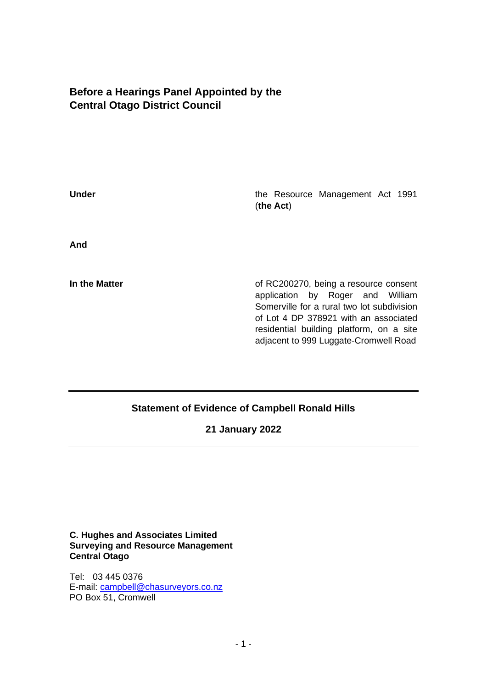# **Before a Hearings Panel Appointed by the Central Otago District Council**

**Under Under** the Resource Management Act 1991 (**the Act**) **And In the Matter In the Matter** of RC200270, being a resource consent application by Roger and William Somerville for a rural two lot subdivision of Lot 4 DP 378921 with an associated residential building platform, on a site adjacent to 999 Luggate-Cromwell Road

## **Statement of Evidence of Campbell Ronald Hills**

**21 January 2022**

**C. Hughes and Associates Limited Surveying and Resource Management Central Otago**

Tel: 03 445 0376 E-mail: [campbell@chasurveyors.co.nz](mailto:campbell@chasurveyors.co.nz) PO Box 51, Cromwell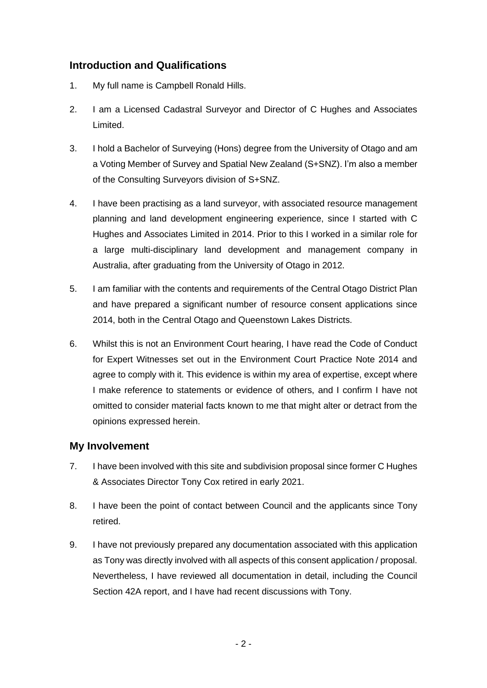# **Introduction and Qualifications**

- 1. My full name is Campbell Ronald Hills.
- 2. I am a Licensed Cadastral Surveyor and Director of C Hughes and Associates Limited.
- 3. I hold a Bachelor of Surveying (Hons) degree from the University of Otago and am a Voting Member of Survey and Spatial New Zealand (S+SNZ). I'm also a member of the Consulting Surveyors division of S+SNZ.
- 4. I have been practising as a land surveyor, with associated resource management planning and land development engineering experience, since I started with C Hughes and Associates Limited in 2014. Prior to this I worked in a similar role for a large multi-disciplinary land development and management company in Australia, after graduating from the University of Otago in 2012.
- 5. I am familiar with the contents and requirements of the Central Otago District Plan and have prepared a significant number of resource consent applications since 2014, both in the Central Otago and Queenstown Lakes Districts.
- 6. Whilst this is not an Environment Court hearing, I have read the Code of Conduct for Expert Witnesses set out in the Environment Court Practice Note 2014 and agree to comply with it. This evidence is within my area of expertise, except where I make reference to statements or evidence of others, and I confirm I have not omitted to consider material facts known to me that might alter or detract from the opinions expressed herein.

## **My Involvement**

- 7. I have been involved with this site and subdivision proposal since former C Hughes & Associates Director Tony Cox retired in early 2021.
- 8. I have been the point of contact between Council and the applicants since Tony retired.
- 9. I have not previously prepared any documentation associated with this application as Tony was directly involved with all aspects of this consent application / proposal. Nevertheless, I have reviewed all documentation in detail, including the Council Section 42A report, and I have had recent discussions with Tony.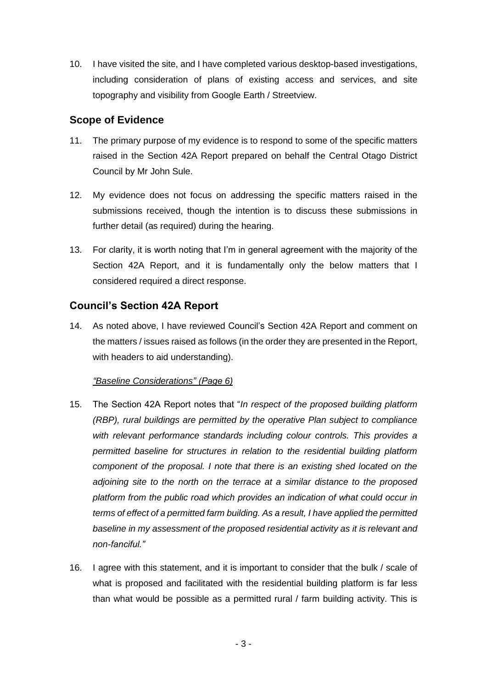10. I have visited the site, and I have completed various desktop-based investigations, including consideration of plans of existing access and services, and site topography and visibility from Google Earth / Streetview.

## **Scope of Evidence**

- 11. The primary purpose of my evidence is to respond to some of the specific matters raised in the Section 42A Report prepared on behalf the Central Otago District Council by Mr John Sule.
- 12. My evidence does not focus on addressing the specific matters raised in the submissions received, though the intention is to discuss these submissions in further detail (as required) during the hearing.
- 13. For clarity, it is worth noting that I'm in general agreement with the majority of the Section 42A Report, and it is fundamentally only the below matters that I considered required a direct response.

# **Council's Section 42A Report**

14. As noted above, I have reviewed Council's Section 42A Report and comment on the matters / issues raised as follows (in the order they are presented in the Report, with headers to aid understanding).

### *"Baseline Considerations" (Page 6)*

- 15. The Section 42A Report notes that "*In respect of the proposed building platform (RBP), rural buildings are permitted by the operative Plan subject to compliance with relevant performance standards including colour controls. This provides a permitted baseline for structures in relation to the residential building platform component of the proposal. I note that there is an existing shed located on the adjoining site to the north on the terrace at a similar distance to the proposed platform from the public road which provides an indication of what could occur in terms of effect of a permitted farm building. As a result, I have applied the permitted baseline in my assessment of the proposed residential activity as it is relevant and non-fanciful."*
- 16. I agree with this statement, and it is important to consider that the bulk / scale of what is proposed and facilitated with the residential building platform is far less than what would be possible as a permitted rural / farm building activity. This is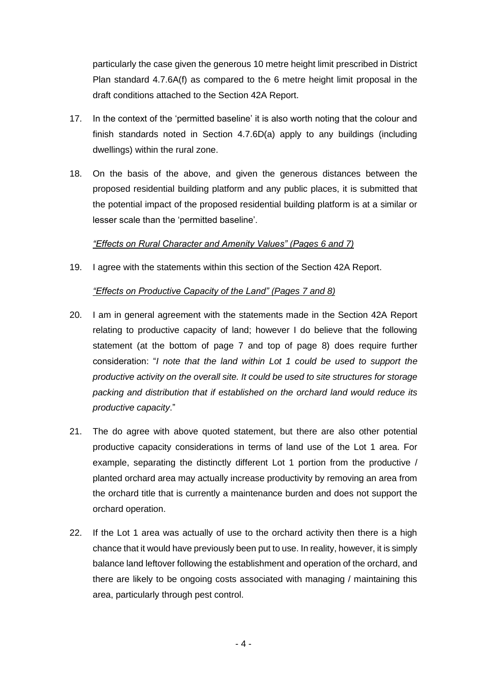particularly the case given the generous 10 metre height limit prescribed in District Plan standard 4.7.6A(f) as compared to the 6 metre height limit proposal in the draft conditions attached to the Section 42A Report.

- 17. In the context of the 'permitted baseline' it is also worth noting that the colour and finish standards noted in Section 4.7.6D(a) apply to any buildings (including dwellings) within the rural zone.
- 18. On the basis of the above, and given the generous distances between the proposed residential building platform and any public places, it is submitted that the potential impact of the proposed residential building platform is at a similar or lesser scale than the 'permitted baseline'.

### *"Effects on Rural Character and Amenity Values" (Pages 6 and 7)*

19. I agree with the statements within this section of the Section 42A Report.

#### *"Effects on Productive Capacity of the Land" (Pages 7 and 8)*

- 20. I am in general agreement with the statements made in the Section 42A Report relating to productive capacity of land; however I do believe that the following statement (at the bottom of page 7 and top of page 8) does require further consideration: "*I note that the land within Lot 1 could be used to support the productive activity on the overall site. It could be used to site structures for storage packing and distribution that if established on the orchard land would reduce its productive capacity*."
- 21. The do agree with above quoted statement, but there are also other potential productive capacity considerations in terms of land use of the Lot 1 area. For example, separating the distinctly different Lot 1 portion from the productive / planted orchard area may actually increase productivity by removing an area from the orchard title that is currently a maintenance burden and does not support the orchard operation.
- 22. If the Lot 1 area was actually of use to the orchard activity then there is a high chance that it would have previously been put to use. In reality, however, it is simply balance land leftover following the establishment and operation of the orchard, and there are likely to be ongoing costs associated with managing / maintaining this area, particularly through pest control.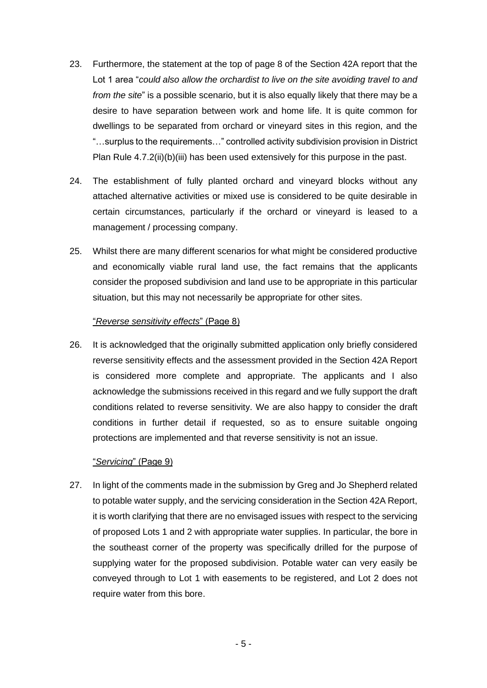- 23. Furthermore, the statement at the top of page 8 of the Section 42A report that the Lot 1 area "*could also allow the orchardist to live on the site avoiding travel to and from the site*" is a possible scenario, but it is also equally likely that there may be a desire to have separation between work and home life. It is quite common for dwellings to be separated from orchard or vineyard sites in this region, and the "…surplus to the requirements…" controlled activity subdivision provision in District Plan Rule 4.7.2(ii)(b)(iii) has been used extensively for this purpose in the past.
- 24. The establishment of fully planted orchard and vineyard blocks without any attached alternative activities or mixed use is considered to be quite desirable in certain circumstances, particularly if the orchard or vineyard is leased to a management / processing company.
- 25. Whilst there are many different scenarios for what might be considered productive and economically viable rural land use, the fact remains that the applicants consider the proposed subdivision and land use to be appropriate in this particular situation, but this may not necessarily be appropriate for other sites.

#### "*Reverse sensitivity effects*" (Page 8)

26. It is acknowledged that the originally submitted application only briefly considered reverse sensitivity effects and the assessment provided in the Section 42A Report is considered more complete and appropriate. The applicants and I also acknowledge the submissions received in this regard and we fully support the draft conditions related to reverse sensitivity. We are also happy to consider the draft conditions in further detail if requested, so as to ensure suitable ongoing protections are implemented and that reverse sensitivity is not an issue.

#### "*Servicing*" (Page 9)

27. In light of the comments made in the submission by Greg and Jo Shepherd related to potable water supply, and the servicing consideration in the Section 42A Report, it is worth clarifying that there are no envisaged issues with respect to the servicing of proposed Lots 1 and 2 with appropriate water supplies. In particular, the bore in the southeast corner of the property was specifically drilled for the purpose of supplying water for the proposed subdivision. Potable water can very easily be conveyed through to Lot 1 with easements to be registered, and Lot 2 does not require water from this bore.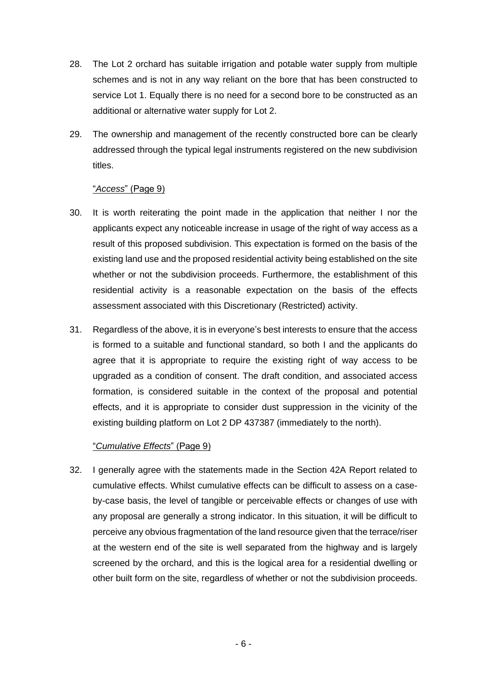- 28. The Lot 2 orchard has suitable irrigation and potable water supply from multiple schemes and is not in any way reliant on the bore that has been constructed to service Lot 1. Equally there is no need for a second bore to be constructed as an additional or alternative water supply for Lot 2.
- 29. The ownership and management of the recently constructed bore can be clearly addressed through the typical legal instruments registered on the new subdivision titles.

#### "*Access*" (Page 9)

- 30. It is worth reiterating the point made in the application that neither I nor the applicants expect any noticeable increase in usage of the right of way access as a result of this proposed subdivision. This expectation is formed on the basis of the existing land use and the proposed residential activity being established on the site whether or not the subdivision proceeds. Furthermore, the establishment of this residential activity is a reasonable expectation on the basis of the effects assessment associated with this Discretionary (Restricted) activity.
- 31. Regardless of the above, it is in everyone's best interests to ensure that the access is formed to a suitable and functional standard, so both I and the applicants do agree that it is appropriate to require the existing right of way access to be upgraded as a condition of consent. The draft condition, and associated access formation, is considered suitable in the context of the proposal and potential effects, and it is appropriate to consider dust suppression in the vicinity of the existing building platform on Lot 2 DP 437387 (immediately to the north).

### "*Cumulative Effects*" (Page 9)

32. I generally agree with the statements made in the Section 42A Report related to cumulative effects. Whilst cumulative effects can be difficult to assess on a caseby-case basis, the level of tangible or perceivable effects or changes of use with any proposal are generally a strong indicator. In this situation, it will be difficult to perceive any obvious fragmentation of the land resource given that the terrace/riser at the western end of the site is well separated from the highway and is largely screened by the orchard, and this is the logical area for a residential dwelling or other built form on the site, regardless of whether or not the subdivision proceeds.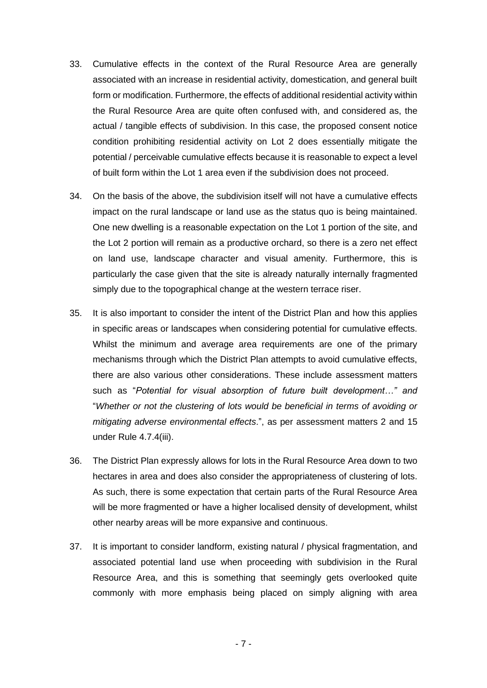- 33. Cumulative effects in the context of the Rural Resource Area are generally associated with an increase in residential activity, domestication, and general built form or modification. Furthermore, the effects of additional residential activity within the Rural Resource Area are quite often confused with, and considered as, the actual / tangible effects of subdivision. In this case, the proposed consent notice condition prohibiting residential activity on Lot 2 does essentially mitigate the potential / perceivable cumulative effects because it is reasonable to expect a level of built form within the Lot 1 area even if the subdivision does not proceed.
- 34. On the basis of the above, the subdivision itself will not have a cumulative effects impact on the rural landscape or land use as the status quo is being maintained. One new dwelling is a reasonable expectation on the Lot 1 portion of the site, and the Lot 2 portion will remain as a productive orchard, so there is a zero net effect on land use, landscape character and visual amenity. Furthermore, this is particularly the case given that the site is already naturally internally fragmented simply due to the topographical change at the western terrace riser.
- 35. It is also important to consider the intent of the District Plan and how this applies in specific areas or landscapes when considering potential for cumulative effects. Whilst the minimum and average area requirements are one of the primary mechanisms through which the District Plan attempts to avoid cumulative effects, there are also various other considerations. These include assessment matters such as "*Potential for visual absorption of future built development…" and*  "*Whether or not the clustering of lots would be beneficial in terms of avoiding or mitigating adverse environmental effects*.", as per assessment matters 2 and 15 under Rule 4.7.4(iii).
- 36. The District Plan expressly allows for lots in the Rural Resource Area down to two hectares in area and does also consider the appropriateness of clustering of lots. As such, there is some expectation that certain parts of the Rural Resource Area will be more fragmented or have a higher localised density of development, whilst other nearby areas will be more expansive and continuous.
- 37. It is important to consider landform, existing natural / physical fragmentation, and associated potential land use when proceeding with subdivision in the Rural Resource Area, and this is something that seemingly gets overlooked quite commonly with more emphasis being placed on simply aligning with area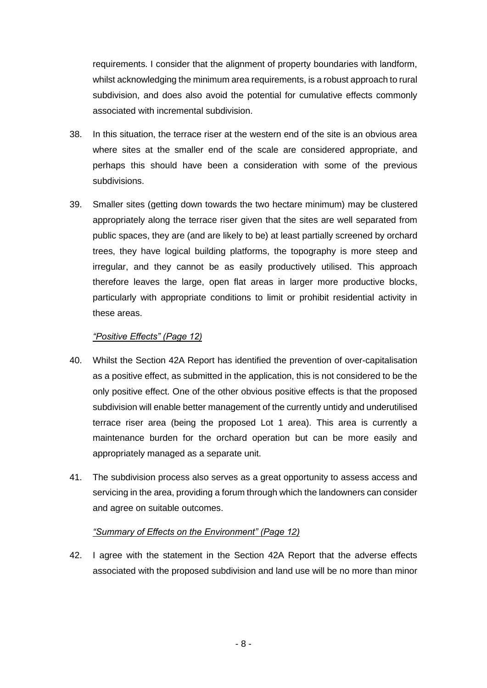requirements. I consider that the alignment of property boundaries with landform, whilst acknowledging the minimum area requirements, is a robust approach to rural subdivision, and does also avoid the potential for cumulative effects commonly associated with incremental subdivision.

- 38. In this situation, the terrace riser at the western end of the site is an obvious area where sites at the smaller end of the scale are considered appropriate, and perhaps this should have been a consideration with some of the previous subdivisions.
- 39. Smaller sites (getting down towards the two hectare minimum) may be clustered appropriately along the terrace riser given that the sites are well separated from public spaces, they are (and are likely to be) at least partially screened by orchard trees, they have logical building platforms, the topography is more steep and irregular, and they cannot be as easily productively utilised. This approach therefore leaves the large, open flat areas in larger more productive blocks, particularly with appropriate conditions to limit or prohibit residential activity in these areas.

#### *"Positive Effects" (Page 12)*

- 40. Whilst the Section 42A Report has identified the prevention of over-capitalisation as a positive effect, as submitted in the application, this is not considered to be the only positive effect. One of the other obvious positive effects is that the proposed subdivision will enable better management of the currently untidy and underutilised terrace riser area (being the proposed Lot 1 area). This area is currently a maintenance burden for the orchard operation but can be more easily and appropriately managed as a separate unit.
- 41. The subdivision process also serves as a great opportunity to assess access and servicing in the area, providing a forum through which the landowners can consider and agree on suitable outcomes.

### *"Summary of Effects on the Environment" (Page 12)*

42. I agree with the statement in the Section 42A Report that the adverse effects associated with the proposed subdivision and land use will be no more than minor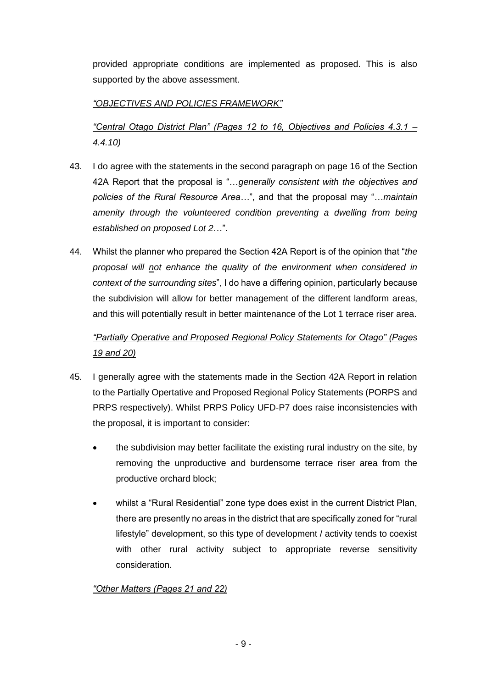provided appropriate conditions are implemented as proposed. This is also supported by the above assessment.

## *"OBJECTIVES AND POLICIES FRAMEWORK"*

*"Central Otago District Plan" (Pages 12 to 16, Objectives and Policies 4.3.1 – 4.4.10)*

- 43. I do agree with the statements in the second paragraph on page 16 of the Section 42A Report that the proposal is "…*generally consistent with the objectives and policies of the Rural Resource Area…*", and that the proposal may "…*maintain amenity through the volunteered condition preventing a dwelling from being established on proposed Lot 2*…".
- 44. Whilst the planner who prepared the Section 42A Report is of the opinion that "*the proposal will not enhance the quality of the environment when considered in context of the surrounding sites*", I do have a differing opinion, particularly because the subdivision will allow for better management of the different landform areas, and this will potentially result in better maintenance of the Lot 1 terrace riser area.

# *"Partially Operative and Proposed Regional Policy Statements for Otago" (Pages 19 and 20)*

- 45. I generally agree with the statements made in the Section 42A Report in relation to the Partially Opertative and Proposed Regional Policy Statements (PORPS and PRPS respectively). Whilst PRPS Policy UFD-P7 does raise inconsistencies with the proposal, it is important to consider:
	- the subdivision may better facilitate the existing rural industry on the site, by removing the unproductive and burdensome terrace riser area from the productive orchard block;
	- whilst a "Rural Residential" zone type does exist in the current District Plan, there are presently no areas in the district that are specifically zoned for "rural lifestyle" development, so this type of development / activity tends to coexist with other rural activity subject to appropriate reverse sensitivity consideration.

## *"Other Matters (Pages 21 and 22)*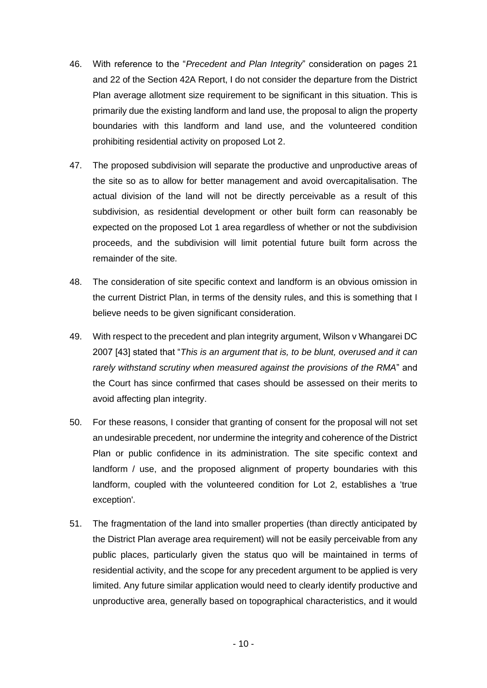- 46. With reference to the "*Precedent and Plan Integrity*" consideration on pages 21 and 22 of the Section 42A Report, I do not consider the departure from the District Plan average allotment size requirement to be significant in this situation. This is primarily due the existing landform and land use, the proposal to align the property boundaries with this landform and land use, and the volunteered condition prohibiting residential activity on proposed Lot 2.
- 47. The proposed subdivision will separate the productive and unproductive areas of the site so as to allow for better management and avoid overcapitalisation. The actual division of the land will not be directly perceivable as a result of this subdivision, as residential development or other built form can reasonably be expected on the proposed Lot 1 area regardless of whether or not the subdivision proceeds, and the subdivision will limit potential future built form across the remainder of the site.
- 48. The consideration of site specific context and landform is an obvious omission in the current District Plan, in terms of the density rules, and this is something that I believe needs to be given significant consideration.
- 49. With respect to the precedent and plan integrity argument, Wilson v Whangarei DC 2007 [43] stated that "*This is an argument that is, to be blunt, overused and it can rarely withstand scrutiny when measured against the provisions of the RMA*" and the Court has since confirmed that cases should be assessed on their merits to avoid affecting plan integrity.
- 50. For these reasons, I consider that granting of consent for the proposal will not set an undesirable precedent, nor undermine the integrity and coherence of the District Plan or public confidence in its administration. The site specific context and landform / use, and the proposed alignment of property boundaries with this landform, coupled with the volunteered condition for Lot 2, establishes a 'true exception'.
- 51. The fragmentation of the land into smaller properties (than directly anticipated by the District Plan average area requirement) will not be easily perceivable from any public places, particularly given the status quo will be maintained in terms of residential activity, and the scope for any precedent argument to be applied is very limited. Any future similar application would need to clearly identify productive and unproductive area, generally based on topographical characteristics, and it would